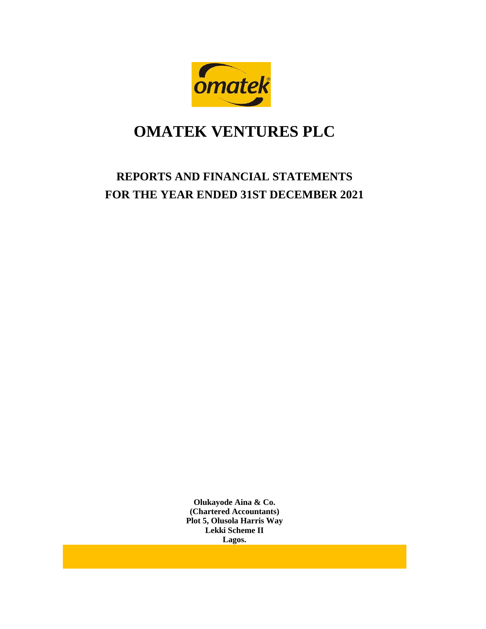

# **REPORTS AND FINANCIAL STATEMENTS FOR THE YEAR ENDED 31ST DECEMBER 2021**

**Olukayode Aina & Co. (Chartered Accountants) Plot 5, Olusola Harris Way Lekki Scheme II Lagos.**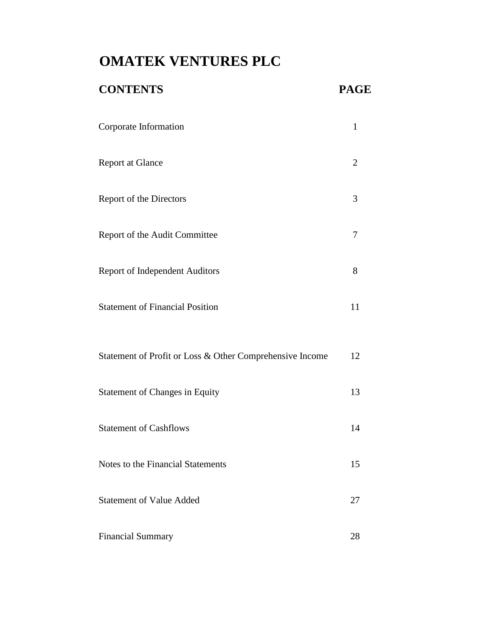# **CONTENTS PAGE** Corporate Information 1 Report at Glance 2 Report of the Directors 3 Report of the Audit Committee 7 Report of Independent Auditors 8 Statement of Financial Position 11

| Statement of Profit or Loss & Other Comprehensive Income | 12 |
|----------------------------------------------------------|----|
| <b>Statement of Changes in Equity</b>                    | 13 |
| <b>Statement of Cashflows</b>                            | 14 |
| Notes to the Financial Statements                        | 15 |
| <b>Statement of Value Added</b>                          | 27 |
| <b>Financial Summary</b>                                 | 28 |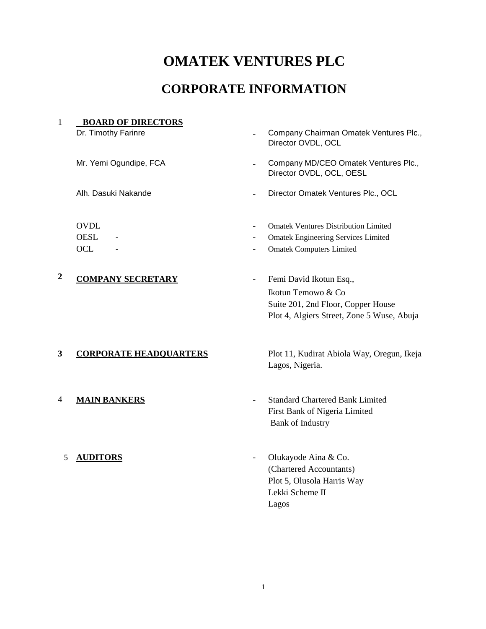# **CORPORATE INFORMATION**

| $\mathbf{1}$     | <b>BOARD OF DIRECTORS</b>                |                          |                                                                                                                                   |
|------------------|------------------------------------------|--------------------------|-----------------------------------------------------------------------------------------------------------------------------------|
|                  | Dr. Timothy Farinre                      |                          | Company Chairman Omatek Ventures Plc.,<br>Director OVDL, OCL                                                                      |
|                  | Mr. Yemi Ogundipe, FCA                   |                          | Company MD/CEO Omatek Ventures Plc.,<br>Director OVDL, OCL, OESL                                                                  |
|                  | Alh. Dasuki Nakande                      |                          | Director Omatek Ventures Plc., OCL                                                                                                |
|                  | <b>OVDL</b><br><b>OESL</b><br><b>OCL</b> | $\overline{\phantom{a}}$ | <b>Omatek Ventures Distribution Limited</b><br><b>Omatek Engineering Services Limited</b><br><b>Omatek Computers Limited</b>      |
| $\boldsymbol{2}$ | <b>COMPANY SECRETARY</b>                 | $\overline{\phantom{a}}$ | Femi David Ikotun Esq.,<br>Ikotun Temowo & Co<br>Suite 201, 2nd Floor, Copper House<br>Plot 4, Algiers Street, Zone 5 Wuse, Abuja |
| 3                | <b>CORPORATE HEADQUARTERS</b>            |                          | Plot 11, Kudirat Abiola Way, Oregun, Ikeja<br>Lagos, Nigeria.                                                                     |
| 4                | <b>MAIN BANKERS</b>                      |                          | <b>Standard Chartered Bank Limited</b><br>First Bank of Nigeria Limited<br><b>Bank of Industry</b>                                |
| 5                | <b>AUDITORS</b>                          | $\overline{\phantom{a}}$ | Olukayode Aina & Co.<br>(Chartered Accountants)<br>Plot 5, Olusola Harris Way<br>Lekki Scheme II<br>Lagos                         |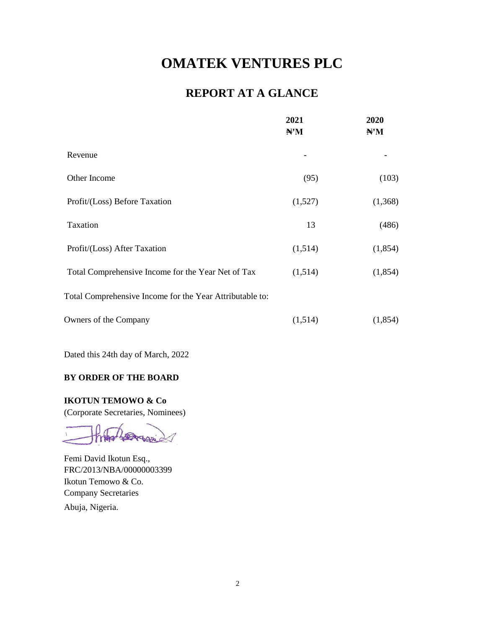# **REPORT AT A GLANCE**

|                                                          | 2021<br>H'M | 2020<br>H'M |
|----------------------------------------------------------|-------------|-------------|
| Revenue                                                  |             |             |
| Other Income                                             | (95)        | (103)       |
| Profit/(Loss) Before Taxation                            | (1,527)     | (1,368)     |
| Taxation                                                 | 13          | (486)       |
| Profit/(Loss) After Taxation                             | (1,514)     | (1,854)     |
| Total Comprehensive Income for the Year Net of Tax       | (1,514)     | (1, 854)    |
| Total Comprehensive Income for the Year Attributable to: |             |             |
| Owners of the Company                                    | (1,514)     | (1,854)     |

Dated this 24th day of March, 2022

### **BY ORDER OF THE BOARD**

**IKOTUN TEMOWO & Co**

(Corporate Secretaries, Nominees)

 $\Delta x$ 

Femi David Ikotun Esq., FRC/2013/NBA/00000003399 Ikotun Temowo & Co. Company Secretaries Abuja, Nigeria.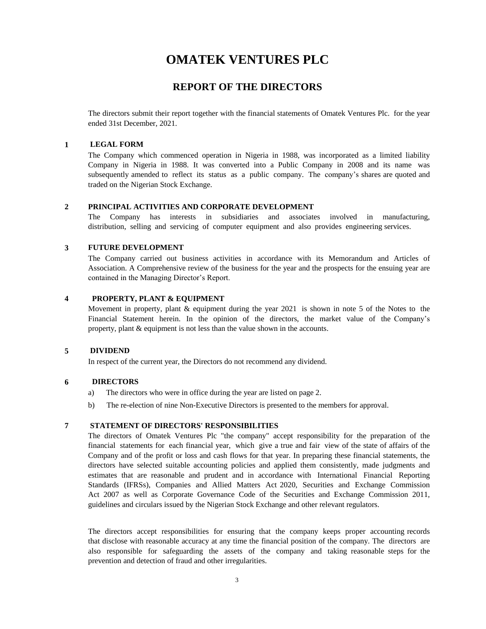### **REPORT OF THE DIRECTORS**

The directors submit their report together with the financial statements of Omatek Ventures Plc. for the year ended 31st December, 2021.

### **1 LEGAL FORM**

The Company which commenced operation in Nigeria in 1988, was incorporated as a limited liability Company in Nigeria in 1988. It was converted into a Public Company in 2008 and its name was subsequently amended to reflect its status as a public company. The company's shares are quoted and traded on the Nigerian Stock Exchange.

#### **2 PRINCIPAL ACTIVITIES AND CORPORATE DEVELOPMENT**

The Company has interests in subsidiaries and associates involved in manufacturing, distribution, selling and servicing of computer equipment and also provides engineering services.

#### **3 FUTURE DEVELOPMENT**

The Company carried out business activities in accordance with its Memorandum and Articles of Association. A Comprehensive review of the business for the year and the prospects for the ensuing year are contained in the Managing Director's Report.

#### **4 PROPERTY, PLANT & EQUIPMENT**

Movement in property, plant & equipment during the year 2021 is shown in note 5 of the Notes to the Financial Statement herein. In the opinion of the directors, the market value of the Company's property, plant & equipment is not less than the value shown in the accounts.

### **5 DIVIDEND**

In respect of the current year, the Directors do not recommend any dividend.

### **6 DIRECTORS**

- a) The directors who were in office during the year are listed on page 2.
- b) The re-election of nine Non-Executive Directors is presented to the members for approval.

### **7 STATEMENT OF DIRECTORS' RESPONSIBILITIES**

The directors of Omatek Ventures Plc "the company" accept responsibility for the preparation of the financial statements for each financial year, which give a true and fair view of the state of affairs of the Company and of the profit or loss and cash flows for that year. In preparing these financial statements, the directors have selected suitable accounting policies and applied them consistently, made judgments and estimates that are reasonable and prudent and in accordance with International Financial Reporting Standards (IFRSs), Companies and Allied Matters Act 2020, Securities and Exchange Commission Act 2007 as well as Corporate Governance Code of the Securities and Exchange Commission 2011, guidelines and circulars issued by the Nigerian Stock Exchange and other relevant regulators.

The directors accept responsibilities for ensuring that the company keeps proper accounting records that disclose with reasonable accuracy at any time the financial position of the company. The directors are also responsible for safeguarding the assets of the company and taking reasonable steps for the prevention and detection of fraud and other irregularities.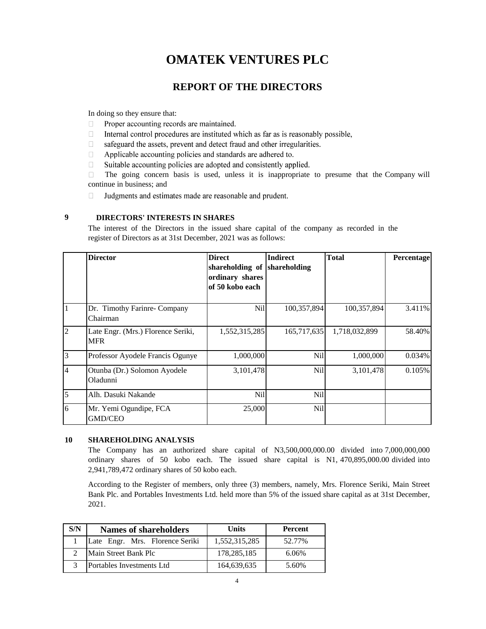### **REPORT OF THE DIRECTORS**

In doing so they ensure that:

- Proper accounting records are maintained.  $\Box$
- $\Box$ Internal control procedures are instituted which as far as is reasonably possible,
- safeguard the assets, prevent and detect fraud and other irregularities.  $\Box$
- $\Box$ Applicable accounting policies and standards are adhered to.
- $\Box$ Suitable accounting policies are adopted and consistently applied.

The going concern basis is used, unless it is inappropriate to presume that the Company will  $\Box$ continue in business; and

 $\Box$ Judgments and estimates made are reasonable and prudent.

#### **9 DIRECTORS' INTERESTS IN SHARES**

The interest of the Directors in the issued share capital of the company as recorded in the register of Directors as at 31st December, 2021 was as follows:

|                | <b>Director</b>                                  | <b>Direct</b><br>shareholding of shareholding<br>ordinary shares<br>of 50 kobo each | <b>Indirect</b> | <b>Total</b>  | Percentage |
|----------------|--------------------------------------------------|-------------------------------------------------------------------------------------|-----------------|---------------|------------|
| $\vert$ 1      | Dr. Timothy Farinre- Company<br>Chairman         | Nil                                                                                 | 100,357,894     | 100,357,894   | 3.411%     |
| $\overline{2}$ | Late Engr. (Mrs.) Florence Seriki,<br><b>MFR</b> | 1,552,315,285                                                                       | 165,717,635     | 1,718,032,899 | 58.40%     |
| $\overline{3}$ | Professor Ayodele Francis Ogunye                 | 1,000,000                                                                           | Nil             | 1,000,000     | 0.034%     |
| $\overline{4}$ | Otunba (Dr.) Solomon Ayodele<br>Oladunni         | 3,101,478                                                                           | Nil             | 3,101,478     | 0.105%     |
| $\overline{5}$ | Alh. Dasuki Nakande                              | Nil                                                                                 | Nil             |               |            |
| 6              | Mr. Yemi Ogundipe, FCA<br><b>GMD/CEO</b>         | 25,000                                                                              | Nil             |               |            |

#### **10 SHAREHOLDING ANALYSIS**

The Company has an authorized share capital of N3,500,000,000.00 divided into 7,000,000,000 ordinary shares of 50 kobo each. The issued share capital is N1, 470,895,000.00 divided into 2,941,789,472 ordinary shares of 50 kobo each.

According to the Register of members, only three (3) members, namely, Mrs. Florence Seriki, Main Street Bank Plc. and Portables Investments Ltd. held more than 5% of the issued share capital as at 31st December, 2021.

| S/N | <b>Names of shareholders</b>    | <b>Units</b>  | Percent |
|-----|---------------------------------|---------------|---------|
|     | Late Engr. Mrs. Florence Seriki | 1,552,315,285 | 52.77%  |
|     | Main Street Bank Plc            | 178.285.185   | 6.06%   |
|     | Portables Investments Ltd       | 164,639,635   | 5.60%   |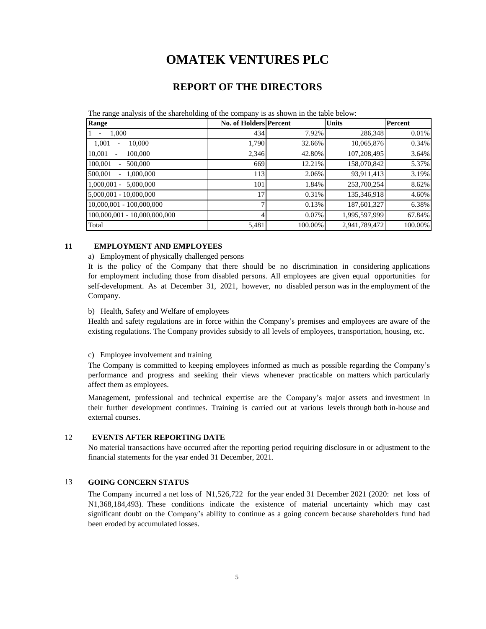### **REPORT OF THE DIRECTORS**

The range analysis of the shareholding of the company is as shown in the table below:

| Range                                          | No. of Holders Percent |         | <b>Units</b>  | Percent  |
|------------------------------------------------|------------------------|---------|---------------|----------|
| 1.000<br>1                                     | 434                    | 7.92%   | 286,348       | $0.01\%$ |
| 1.001<br>10.000                                | 1,790                  | 32.66%  | 10,065,876    | 0.34%    |
| 10.001<br>100,000                              | 2,346                  | 42.80%  | 107,208,495   | 3.64%    |
| 100,001<br>500,000<br>$\overline{\phantom{0}}$ | 669                    | 12.21%  | 158,070,842   | 5.37%    |
| 500,001<br>1,000,000<br>$\sim$                 | 113                    | 2.06%   | 93,911,413    | 3.19%    |
| $1,000,001 - 5,000,000$                        | 101                    | 1.84%   | 253,700,254   | 8.62%    |
| 5,000,001 - 10,000,000                         | 17                     | 0.31%   | 135,346,918   | 4.60%    |
| $10,000,001 - 100,000,000$                     | 7                      | 0.13%   | 187,601,327   | 6.38%    |
| 100,000,001 - 10,000,000,000                   | 4                      | 0.07%   | 1,995,597,999 | 67.84%   |
| Total                                          | 5,481                  | 100.00% | 2,941,789,472 | 100.00%  |

### **11 EMPLOYMENT AND EMPLOYEES**

a) Employment of physically challenged persons

It is the policy of the Company that there should be no discrimination in considering applications for employment including those from disabled persons. All employees are given equal opportunities for self-development. As at December 31, 2021, however, no disabled person was in the employment of the Company.

#### b) Health, Safety and Welfare of employees

Health and safety regulations are in force within the Company's premises and employees are aware of the existing regulations. The Company provides subsidy to all levels of employees, transportation, housing, etc.

#### c) Employee involvement and training

The Company is committed to keeping employees informed as much as possible regarding the Company's performance and progress and seeking their views whenever practicable on matters which particularly affect them as employees.

Management, professional and technical expertise are the Company's major assets and investment in their further development continues. Training is carried out at various levels through both in-house and external courses.

### 12 **EVENTS AFTER REPORTING DATE**

No material transactions have occurred after the reporting period requiring disclosure in or adjustment to the financial statements for the year ended 31 December, 2021.

### 13 **GOING CONCERN STATUS**

The Company incurred a net loss of N1,526,722 for the year ended 31 December 2021 (2020: net loss of N1,368,184,493). These conditions indicate the existence of material uncertainty which may cast significant doubt on the Company's ability to continue as a going concern because shareholders fund had been eroded by accumulated losses.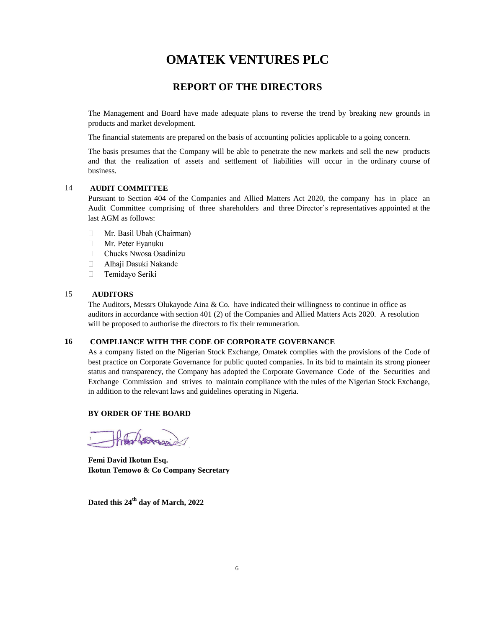### **REPORT OF THE DIRECTORS**

The Management and Board have made adequate plans to reverse the trend by breaking new grounds in products and market development.

The financial statements are prepared on the basis of accounting policies applicable to a going concern.

The basis presumes that the Company will be able to penetrate the new markets and sell the new products and that the realization of assets and settlement of liabilities will occur in the ordinary course of business.

### 14 **AUDIT COMMITTEE**

Pursuant to Section 404 of the Companies and Allied Matters Act 2020, the company has in place an Audit Committee comprising of three shareholders and three Director's representatives appointed at the last AGM as follows:

- Mr. Basil Ubah (Chairman)  $\Box$
- $\Box$ Mr. Peter Eyanuku
- $\Box$ Chucks Nwosa Osadinizu
- $\Box$ Alhaji Dasuki Nakande
- $\Box$ Temidayo Seriki

### 15 **AUDITORS**

The Auditors, Messrs Olukayode Aina & Co. have indicated their willingness to continue in office as auditors in accordance with section 401 (2) of the Companies and Allied Matters Acts 2020. A resolution will be proposed to authorise the directors to fix their remuneration.

#### **16 COMPLIANCE WITH THE CODE OF CORPORATE GOVERNANCE**

As a company listed on the Nigerian Stock Exchange, Omatek complies with the provisions of the Code of best practice on Corporate Governance for public quoted companies. In its bid to maintain its strong pioneer status and transparency, the Company has adopted the Corporate Governance Code of the Securities and Exchange Commission and strives to maintain compliance with the rules of the Nigerian Stock Exchange, in addition to the relevant laws and guidelines operating in Nigeria.

### **BY ORDER OF THE BOARD**

**Femi David Ikotun Esq. Ikotun Temowo & Co Company Secretary**

**Dated this 24th day of March, 2022**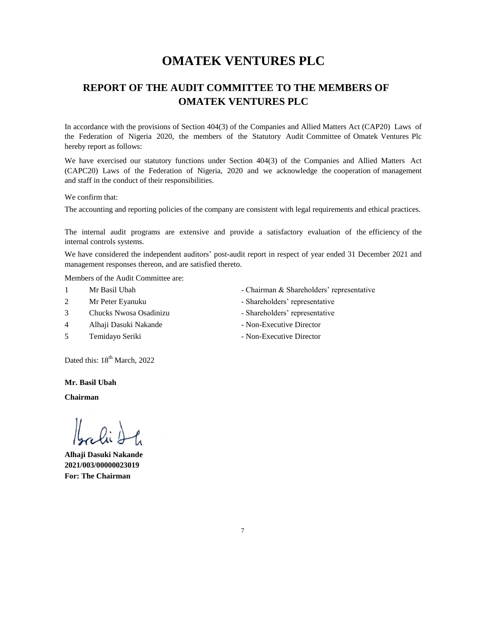### **OMATEK VENTURES PLC REPORT OF THE AUDIT COMMITTEE TO THE MEMBERS OF**

In accordance with the provisions of Section 404(3) of the Companies and Allied Matters Act (CAP20) Laws of the Federation of Nigeria 2020, the members of the Statutory Audit Committee of Omatek Ventures Plc hereby report as follows:

We have exercised our statutory functions under Section 404(3) of the Companies and Allied Matters Act (CAPC20) Laws of the Federation of Nigeria, 2020 and we acknowledge the cooperation of management and staff in the conduct of their responsibilities.

### We confirm that:

The accounting and reporting policies of the company are consistent with legal requirements and ethical practices.

The internal audit programs are extensive and provide a satisfactory evaluation of the efficiency of the internal controls systems.

We have considered the independent auditors' post-audit report in respect of year ended 31 December 2021 and management responses thereon, and are satisfied thereto.

Members of the Audit Committee are:

- 
- 
- 3 Chucks Nwosa Osadinizu Shareholders' representative
- 4 Alhaji Dasuki Nakande Non-Executive Director
- 
- 1 Mr Basil Ubah Chairman & Shareholders' representative
- 2 Mr Peter Eyanuku Shareholders' representative
	-
	-
- 5 Temidayo Seriki Non-Executive Director

Dated this:  $18^{th}$  March, 2022

**Mr. Basil Ubah**

**Chairman**

bali 2

**Alhaji Dasuki Nakande 2021/003/00000023019 For: The Chairman**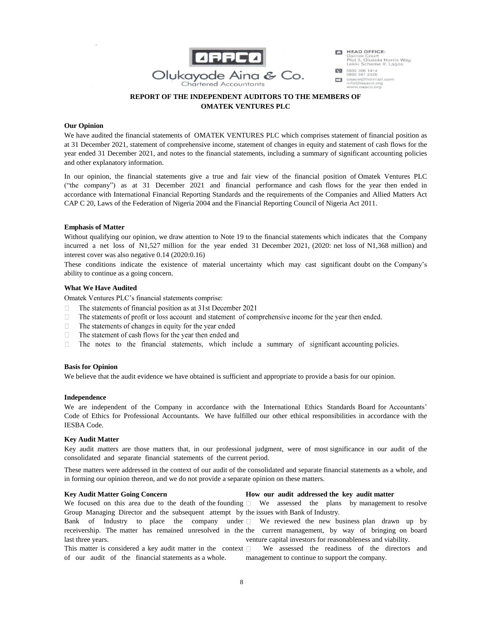

HEAD OFFICE: Dainak Court<br>Plot 5, Olusola Harris Way,<br>Lekki Scheme II, Lagos.

0802 306 1414 ooos son 2926<br>oaaco@hotmail.com<br>info@oaaco.org<br>www.oaaco.org  $\mathbb{R}^3$ 

### **REPORT OF THE INDEPENDENT AUDITORS TO THE MEMBERS OF OMATEK VENTURES PLC**

### **Our Opinion**

We have audited the financial statements of OMATEK VENTURES PLC which comprises statement of financial position as at 31 December 2021, statement of comprehensive income, statement of changes in equity and statement of cash flows for the year ended 31 December 2021, and notes to the financial statements, including a summary of significant accounting policies and other explanatory information.

In our opinion, the financial statements give a true and fair view of the financial position of Omatek Ventures PLC ("the company") as at 31 December 2021 and financial performance and cash flows for the year then ended in accordance with International Financial Reporting Standards and the requirements of the Companies and Allied Matters Act CAP C 20, Laws of the Federation of Nigeria 2004 and the Financial Reporting Council of Nigeria Act 2011.

#### **Emphasis of Matter**

Without qualifying our opinion, we draw attention to Note 19 to the financial statements which indicates that the Company incurred a net loss of N1,527 million for the year ended 31 December 2021, (2020: net loss of N1,368 million) and interest cover was also negative 0.14 (2020:0.16)

These conditions indicate the existence of material uncertainty which may cast significant doubt on the Company's ability to continue as a going concern.

#### **What We Have Audited**

Omatek Ventures PLC's financial statements comprise:

- $\Box$ The statements of financial position as at 31st December 2021
- $\Box$ The statements of profit or loss account and statement of comprehensive income for the year then ended.
- $\Box$ The statements of changes in equity for the year ended
- $\Box$ The statement of cash flows for the year then ended and
- The notes to the financial statements, which include a summary of significant accounting policies.  $\Box$

#### **Basis for Opinion**

We believe that the audit evidence we have obtained is sufficient and appropriate to provide a basis for our opinion.

#### **Independence**

We are independent of the Company in accordance with the International Ethics Standards Board for Accountants' Code of Ethics for Professional Accountants. We have fulfilled our other ethical responsibilities in accordance with the IESBA Code.

#### **Key Audit Matter**

Key audit matters are those matters that, in our professional judgment, were of most significance in our audit of the consolidated and separate financial statements of the current period.

These matters were addressed in the context of our audit of the consolidated and separate financial statements as a whole, and in forming our opinion thereon, and we do not provide a separate opinion on these matters.

#### **Key Audit Matter Going Concern**

#### **How our audit addressed the key audit matter**

We focused on this area due to the death of the founding  $\Box$  We assessed the plans by management to resolve Group Managing Director and the subsequent attempt by the issues with Bank of Industry.

Bank of Industry to place the company under We reviewed the new business plan drawn up by receivership. The matter has remained unresolved in the the current management, by way of bringing on board last three years. venture capital investors for reasonableness and viability.

This matter is considered a key audit matter in the context  $\Box$ of our audit of the financial statements as a whole. We assessed the readiness of the directors and management to continue to support the company.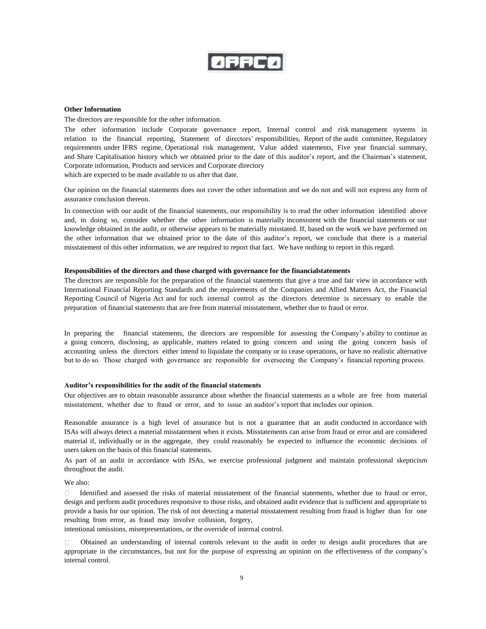**ZFFCO** 

#### **Other Information**

The directors are responsible for the other information.

The other information include Corporate governance report, Internal control and risk management systems in relation to the financial reporting, Statement of directors' responsibilities, Report of the audit committee, Regulatory requirements under IFRS regime, Operational risk management, Value added statements, Five year financial summary, and Share Capitalisation history which we obtained prior to the date of this auditor's report, and the Chairman's statement, Corporate information, Products and services and Corporate directory which are expected to be made available to us after that date.

Our opinion on the financial statements does not cover the other information and we do not and will not express any form of assurance conclusion thereon.

In connection with our audit of the financial statements, our responsibility is to read the other information identified above and, in doing so, consider whether the other information is materially inconsistent with the financial statements or our knowledge obtained in the audit, or otherwise appears to be materially misstated. If, based on the work we have performed on the other information that we obtained prior to the date of this auditor's report, we conclude that there is a material misstatement of this other information, we are required to report that fact. We have nothing to report in this regard.

#### Responsibilities of the directors and those charged with governance for the financial statements

The directors are responsible for the preparation of the financial statements that give a true and fair view in accordance with International Financial Reporting Standards and the requirements of the Companies and Allied Matters Act, the Financial Reporting Council of Nigeria Act and for such internal control as the directors determine is necessary to enable the preparation of financial statements that are free from material misstatement, whether due to fraud or error.

In preparing the financial statements, the directors are responsible for assessing the Company's ability to continue as a going concern, disclosing, as applicable, matters related to going concern and using the going concern basis of accounting unless the directors either intend to liquidate the company or to cease operations, or have no realistic alternative but to do so. Those charged with governance are responsible for overseeing the Company's financial reporting process.

#### **Auditor's responsibilities for the audit of the financial statements**

Our objectives are to obtain reasonable assurance about whether the financial statements as a whole are free from material misstatement, whether due to fraud or error, and to issue an auditor's report that includes our opinion.

Reasonable assurance is a high level of assurance but is not a guarantee that an audit conducted in accordance with ISAs will always detect a material misstatement when it exists. Misstatements can arise from fraud or error and are considered material if, individually or in the aggregate, they could reasonably be expected to influence the economic decisions of users taken on the basis of this financial statements.

As part of an audit in accordance with ISAs, we exercise professional judgment and maintain professional skepticism throughout the audit.

We also:

Identified and assessed the risks of material misstatement of the financial statements, whether due to fraud or error,  $\Box$ design and perform audit procedures responsive to those risks, and obtained audit evidence that is sufficient and appropriate to provide a basis for our opinion. The risk of not detecting a material misstatement resulting from fraud is higher than for one resulting from error, as fraud may involve collusion, forgery,

intentional omissions, misrepresentations, or the override of internal control.

Obtained an understanding of internal controls relevant to the audit in order to design audit procedures that are П. appropriate in the circumstances, but not for the purpose of expressing an opinion on the effectiveness of the company's internal control.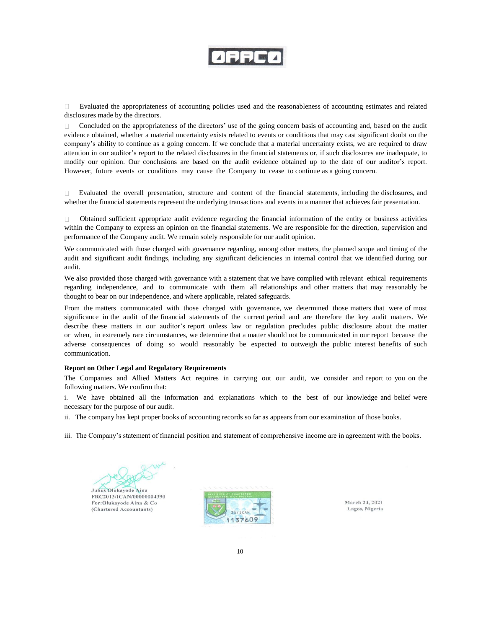Evaluated the appropriateness of accounting policies used and the reasonableness of accounting estimates and related  $\Box$ disclosures made by the directors.

Concluded on the appropriateness of the directors' use of the going concern basis of accounting and, based on the audit  $\Box$ evidence obtained, whether a material uncertainty exists related to events or conditions that may cast significant doubt on the company's ability to continue as a going concern. If we conclude that a material uncertainty exists, we are required to draw attention in our auditor's report to the related disclosures in the financial statements or, if such disclosures are inadequate, to modify our opinion. Our conclusions are based on the audit evidence obtained up to the date of our auditor's report. However, future events or conditions may cause the Company to cease to continue as a going concern.

 $\Box$ Evaluated the overall presentation, structure and content of the financial statements, including the disclosures, and whether the financial statements represent the underlying transactions and events in a manner that achieves fair presentation.

Obtained sufficient appropriate audit evidence regarding the financial information of the entity or business activities  $\Box$ within the Company to express an opinion on the financial statements. We are responsible for the direction, supervision and performance of the Company audit. We remain solely responsible for our audit opinion.

We communicated with those charged with governance regarding, among other matters, the planned scope and timing of the audit and significant audit findings, including any significant deficiencies in internal control that we identified during our audit.

We also provided those charged with governance with a statement that we have complied with relevant ethical requirements regarding independence, and to communicate with them all relationships and other matters that may reasonably be thought to bear on our independence, and where applicable, related safeguards.

From the matters communicated with those charged with governance, we determined those matters that were of most significance in the audit of the financial statements of the current period and are therefore the key audit matters. We describe these matters in our auditor's report unless law or regulation precludes public disclosure about the matter or when, in extremely rare circumstances, we determine that a matter should not be communicated in our report because the adverse consequences of doing so would reasonably be expected to outweigh the public interest benefits of such communication.

#### **Report on Other Legal and Regulatory Requirements**

The Companies and Allied Matters Act requires in carrying out our audit, we consider and report to you on the following matters. We confirm that:

i. We have obtained all the information and explanations which to the best of our knowledge and belief were necessary for the purpose of our audit.

ii. The company has kept proper books of accounting records so far as appears from our examination of those books.

iii. The Company's statement of financial position and statement of comprehensive income are in agreement with the books.

Julius Olukayode Aina

FRC2013/ICAN/00000004390 For:Olukayode Aina & Co (Chartered Accountants)



March 24, 2021 Lagos, Nigeria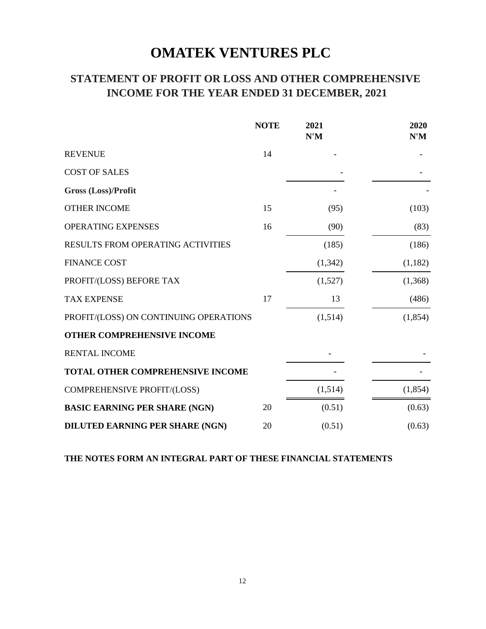# **STATEMENT OF PROFIT OR LOSS AND OTHER COMPREHENSIVE INCOME FOR THE YEAR ENDED 31 DECEMBER, 2021**

|                                        | <b>NOTE</b> | 2021<br>N'M | 2020<br>N'M |
|----------------------------------------|-------------|-------------|-------------|
| <b>REVENUE</b>                         | 14          |             |             |
| <b>COST OF SALES</b>                   |             |             |             |
| <b>Gross (Loss)/Profit</b>             |             |             |             |
| <b>OTHER INCOME</b>                    | 15          | (95)        | (103)       |
| <b>OPERATING EXPENSES</b>              | 16          | (90)        | (83)        |
| RESULTS FROM OPERATING ACTIVITIES      |             | (185)       | (186)       |
| <b>FINANCE COST</b>                    |             | (1, 342)    | (1,182)     |
| PROFIT/(LOSS) BEFORE TAX               |             | (1,527)     | (1,368)     |
| <b>TAX EXPENSE</b>                     | 17          | 13          | (486)       |
| PROFIT/(LOSS) ON CONTINUING OPERATIONS |             | (1,514)     | (1,854)     |
| OTHER COMPREHENSIVE INCOME             |             |             |             |
| <b>RENTAL INCOME</b>                   |             |             |             |
| TOTAL OTHER COMPREHENSIVE INCOME       |             |             |             |
| COMPREHENSIVE PROFIT/(LOSS)            |             | (1,514)     | (1, 854)    |
| <b>BASIC EARNING PER SHARE (NGN)</b>   | 20          | (0.51)      | (0.63)      |
| DILUTED EARNING PER SHARE (NGN)        | 20          | (0.51)      | (0.63)      |

### **THE NOTES FORM AN INTEGRAL PART OF THESE FINANCIAL STATEMENTS**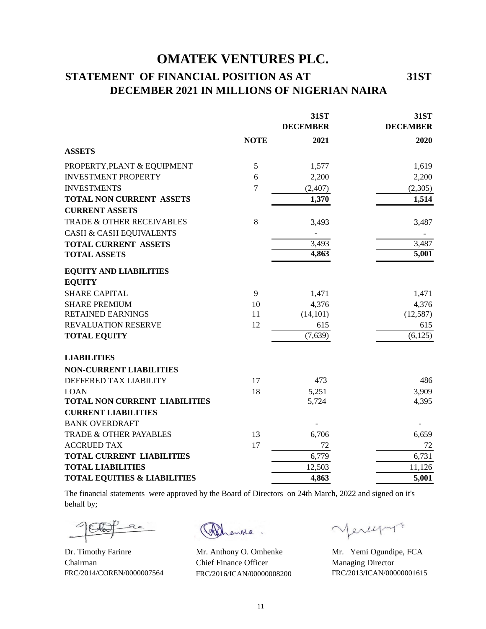# **STATEMENT OF FINANCIAL POSITION AS AT 31ST DECEMBER 2021 IN MILLIONS OF NIGERIAN NAIRA**

|                                         |                | <b>31ST</b>     | 31ST            |
|-----------------------------------------|----------------|-----------------|-----------------|
|                                         |                | <b>DECEMBER</b> | <b>DECEMBER</b> |
|                                         | <b>NOTE</b>    | 2021            | 2020            |
| <b>ASSETS</b>                           |                |                 |                 |
| PROPERTY, PLANT & EQUIPMENT             | 5              | 1,577           | 1,619           |
| <b>INVESTMENT PROPERTY</b>              | 6              | 2,200           | 2,200           |
| <b>INVESTMENTS</b>                      | $\overline{7}$ | (2,407)         | (2,305)         |
| TOTAL NON CURRENT ASSETS                |                | 1,370           | 1,514           |
| <b>CURRENT ASSETS</b>                   |                |                 |                 |
| TRADE & OTHER RECEIVABLES               | 8              | 3,493           | 3,487           |
| CASH & CASH EQUIVALENTS                 |                |                 |                 |
| <b>TOTAL CURRENT ASSETS</b>             |                | 3,493           | 3,487           |
| <b>TOTAL ASSETS</b>                     |                | 4,863           | 5,001           |
| <b>EQUITY AND LIABILITIES</b>           |                |                 |                 |
| <b>EQUITY</b>                           |                |                 |                 |
| <b>SHARE CAPITAL</b>                    | 9              | 1,471           | 1,471           |
| <b>SHARE PREMIUM</b>                    | 10             | 4,376           | 4,376           |
| <b>RETAINED EARNINGS</b>                | 11             | (14, 101)       | (12, 587)       |
| REVALUATION RESERVE                     | 12             | 615             | 615             |
| <b>TOTAL EQUITY</b>                     |                | (7,639)         | (6, 125)        |
| <b>LIABILITIES</b>                      |                |                 |                 |
| <b>NON-CURRENT LIABILITIES</b>          |                |                 |                 |
| DEFFERED TAX LIABILITY                  | 17             | 473             | 486             |
| <b>LOAN</b>                             | 18             | 5,251           | 3,909           |
| TOTAL NON CURRENT LIABILITIES           |                | 5,724           | 4,395           |
| <b>CURRENT LIABILITIES</b>              |                |                 |                 |
| <b>BANK OVERDRAFT</b>                   |                |                 |                 |
| TRADE & OTHER PAYABLES                  | 13             | 6,706           | 6,659           |
| <b>ACCRUED TAX</b>                      | 17             | 72              | 72              |
| <b>TOTAL CURRENT LIABILITIES</b>        |                | 6,779           | 6,731           |
| <b>TOTAL LIABILITIES</b>                |                | 12,503          | 11,126          |
| <b>TOTAL EQUITIES &amp; LIABILITIES</b> |                | 4,863           | 5,001           |

The financial statements were approved by the Board of Directors on 24th March, 2022 and signed on it's behalf by;

 $\sqrt{a}$ 

Dr. Timothy Farinre Mr. Anthony O. Omhenke Mr. Yemi Ogundipe, FCA Chairman Chief Finance Officer Managing Director FRC/2014/COREN/0000007564 FRC/2016/ICAN/00000008200 FRC/2013/ICAN/00000001615

enke.

Mercyn10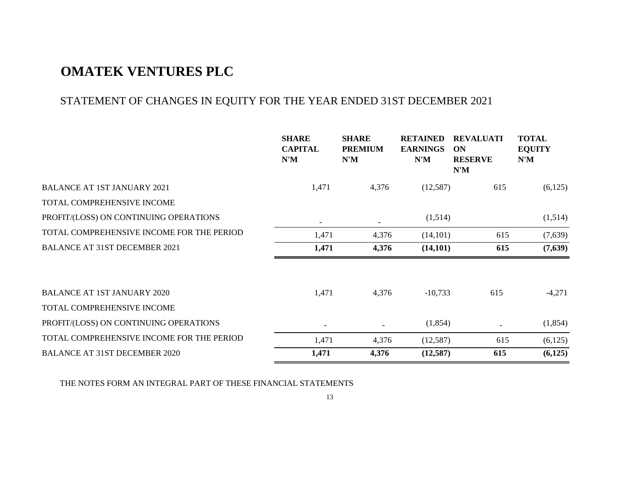# STATEMENT OF CHANGES IN EQUITY FOR THE YEAR ENDED 31ST DECEMBER 2021

|                                           | <b>SHARE</b><br><b>CAPITAL</b><br>N'M | <b>SHARE</b><br><b>PREMIUM</b><br>N'M | <b>RETAINED</b><br><b>EARNINGS</b><br>N'M | <b>REVALUATI</b><br>ON<br><b>RESERVE</b><br>N'M | <b>TOTAL</b><br><b>EQUITY</b><br>N'M |
|-------------------------------------------|---------------------------------------|---------------------------------------|-------------------------------------------|-------------------------------------------------|--------------------------------------|
| <b>BALANCE AT 1ST JANUARY 2021</b>        | 1,471                                 | 4,376                                 | (12,587)                                  | 615                                             | (6,125)                              |
| TOTAL COMPREHENSIVE INCOME                |                                       |                                       |                                           |                                                 |                                      |
| PROFIT/(LOSS) ON CONTINUING OPERATIONS    |                                       |                                       | (1,514)                                   |                                                 | (1,514)                              |
| TOTAL COMPREHENSIVE INCOME FOR THE PERIOD | 1,471                                 | 4,376                                 | (14,101)                                  | 615                                             | (7,639)                              |
| <b>BALANCE AT 31ST DECEMBER 2021</b>      | 1,471                                 | 4,376                                 | (14, 101)                                 | 615                                             | (7,639)                              |
| <b>BALANCE AT 1ST JANUARY 2020</b>        | 1,471                                 | 4,376                                 | $-10,733$                                 | 615                                             | $-4,271$                             |
| TOTAL COMPREHENSIVE INCOME                |                                       |                                       |                                           |                                                 |                                      |
| PROFIT/(LOSS) ON CONTINUING OPERATIONS    |                                       |                                       | (1, 854)                                  |                                                 | (1,854)                              |
| TOTAL COMPREHENSIVE INCOME FOR THE PERIOD | 1,471                                 | 4,376                                 | (12,587)                                  | 615                                             | (6,125)                              |
| <b>BALANCE AT 31ST DECEMBER 2020</b>      | 1,471                                 | 4,376                                 | (12, 587)                                 | 615                                             | (6,125)                              |

THE NOTES FORM AN INTEGRAL PART OF THESE FINANCIAL STATEMENTS

13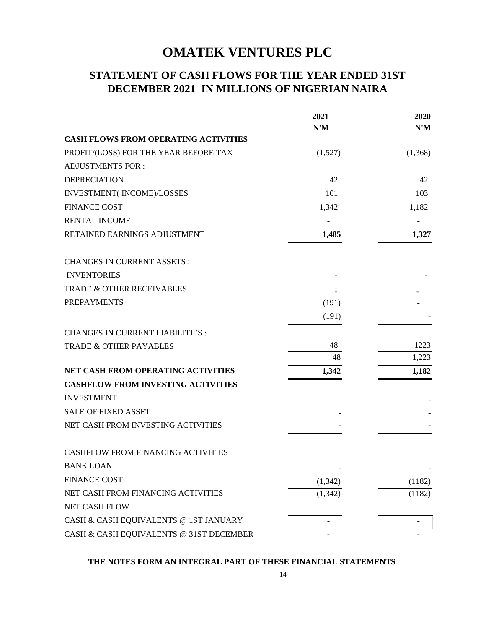# **STATEMENT OF CASH FLOWS FOR THE YEAR ENDED 31ST DECEMBER 2021 IN MILLIONS OF NIGERIAN NAIRA**

|                                             | 2021     | 2020    |
|---------------------------------------------|----------|---------|
|                                             | N'M      | N'M     |
| <b>CASH FLOWS FROM OPERATING ACTIVITIES</b> |          |         |
| PROFIT/(LOSS) FOR THE YEAR BEFORE TAX       | (1,527)  | (1,368) |
| <b>ADJUSTMENTS FOR:</b>                     |          |         |
| <b>DEPRECIATION</b>                         | 42       | 42      |
| INVESTMENT(INCOME)/LOSSES                   | 101      | 103     |
| <b>FINANCE COST</b>                         | 1,342    | 1,182   |
| <b>RENTAL INCOME</b>                        |          |         |
| RETAINED EARNINGS ADJUSTMENT                | 1,485    | 1,327   |
| <b>CHANGES IN CURRENT ASSETS:</b>           |          |         |
| <b>INVENTORIES</b>                          |          |         |
| TRADE & OTHER RECEIVABLES                   |          |         |
| <b>PREPAYMENTS</b>                          | (191)    |         |
|                                             | (191)    |         |
| <b>CHANGES IN CURRENT LIABILITIES:</b>      |          |         |
| <b>TRADE &amp; OTHER PAYABLES</b>           | 48       | 1223    |
|                                             | 48       | 1,223   |
| NET CASH FROM OPERATING ACTIVITIES          | 1,342    | 1,182   |
| <b>CASHFLOW FROM INVESTING ACTIVITIES</b>   |          |         |
| <b>INVESTMENT</b>                           |          |         |
| <b>SALE OF FIXED ASSET</b>                  |          |         |
| NET CASH FROM INVESTING ACTIVITIES          |          |         |
| CASHFLOW FROM FINANCING ACTIVITIES          |          |         |
| BANK LOAN                                   |          |         |
| <b>FINANCE COST</b>                         | (1, 342) | (1182)  |
| NET CASH FROM FINANCING ACTIVITIES          | (1, 342) | (1182)  |
| <b>NET CASH FLOW</b>                        |          |         |
| CASH & CASH EQUIVALENTS @ 1ST JANUARY       |          |         |
| CASH & CASH EQUIVALENTS @ 31ST DECEMBER     |          |         |

**THE NOTES FORM AN INTEGRAL PART OF THESE FINANCIAL STATEMENTS**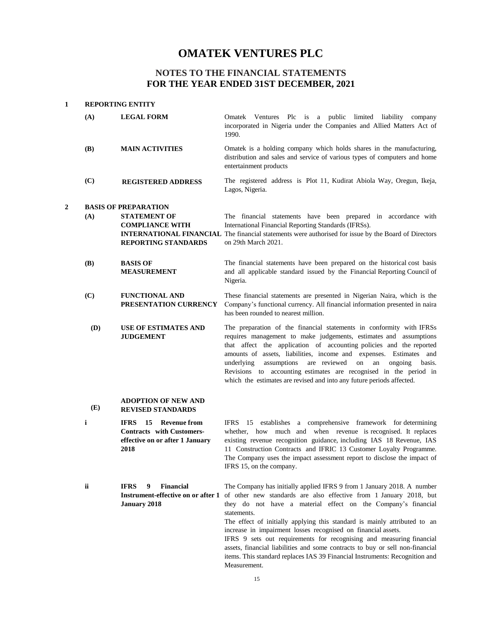### **NOTES TO THE FINANCIAL STATEMENTS FOR THE YEAR ENDED 31ST DECEMBER, 2021**

#### **1 REPORTING ENTITY**

**2**

| (A)        | <b>LEGAL FORM</b>                              | Omatek Ventures Plc is a public limited liability<br>company<br>incorporated in Nigeria under the Companies and Allied Matters Act of<br>1990.                                                  |
|------------|------------------------------------------------|-------------------------------------------------------------------------------------------------------------------------------------------------------------------------------------------------|
| <b>(B)</b> | <b>MAIN ACTIVITIES</b>                         | Omatek is a holding company which holds shares in the manufacturing,<br>distribution and sales and service of various types of computers and home<br>entertainment products                     |
| (C)        | <b>REGISTERED ADDRESS</b>                      | The registered address is Plot 11, Kudirat Abiola Way, Oregun, Ikeja,<br>Lagos, Nigeria.                                                                                                        |
|            | <b>BASIS OF PREPARATION</b>                    |                                                                                                                                                                                                 |
| (A)        | <b>STATEMENT OF</b>                            | The financial statements have been prepared in accordance with                                                                                                                                  |
|            | <b>COMPLIANCE WITH</b>                         | International Financial Reporting Standards (IFRSs).                                                                                                                                            |
|            |                                                | <b>INTERNATIONAL FINANCIAL</b> The financial statements were authorised for issue by the Board of Directors                                                                                     |
|            | <b>REPORTING STANDARDS</b>                     | on 29th March 2021.                                                                                                                                                                             |
| <b>(B)</b> | <b>BASIS OF</b>                                | The financial statements have been prepared on the historical cost basis                                                                                                                        |
|            | <b>MEASUREMENT</b>                             | and all applicable standard issued by the Financial Reporting Council of<br>Nigeria.                                                                                                            |
| (C)        | <b>FUNCTIONAL AND</b><br>PRESENTATION CURRENCY | These financial statements are presented in Nigerian Naira, which is the<br>Company's functional currency. All financial information presented in naira<br>has been rounded to nearest million. |

**(D) USE OF ESTIMATES AND JUDGEMENT** The preparation of the financial statements in conformity with IFRSs requires management to make judgements, estimates and assumptions that affect the application of accounting policies and the reported amounts of assets, liabilities, income and expenses. Estimates and underlying assumptions are reviewed on an ongoing basis. Revisions to accounting estimates are recognised in the period in which the estimates are revised and into any future periods affected.

#### **(E) ADOPTION OF NEW AND REVISED STANDARDS**

- **i IFRS 15 Revenue from Contracts with Customerseffective on or after 1 January 2018** IFRS 15 establishes a comprehensive framework for determining whether, how much and when revenue is recognised. It replaces existing revenue recognition guidance, including IAS 18 Revenue, IAS 11 Construction Contracts and IFRIC 13 Customer Loyalty Programme. The Company uses the impact assessment report to disclose the impact of IFRS 15, on the company.
- **ii IFRS 9 Financial Instrument-effective on or after 1 January 2018** The Company has initially applied IFRS 9 from 1 January 2018. A number of other new standards are also effective from 1 January 2018, but they do not have a material effect on the Company's financial statements. The effect of initially applying this standard is mainly attributed to an

increase in impairment losses recognised on financial assets.

IFRS 9 sets out requirements for recognising and measuring financial assets, financial liabilities and some contracts to buy or sell non-financial items. This standard replaces IAS 39 Financial Instruments: Recognition and Measurement.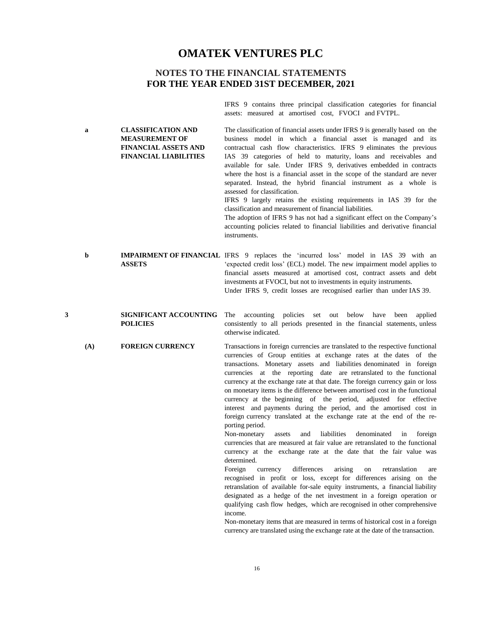### **NOTES TO THE FINANCIAL STATEMENTS FOR THE YEAR ENDED 31ST DECEMBER, 2021**

**a CLASSIFICATION AND** 

**MEASUREMENT OF FINANCIAL ASSETS AND FINANCIAL LIABILITIES** IFRS 9 contains three principal classification categories for financial assets: measured at amortised cost, FVOCI and FVTPL.

The classification of financial assets under IFRS 9 is generally based on the business model in which a financial asset is managed and its contractual cash flow characteristics. IFRS 9 eliminates the previous IAS 39 categories of held to maturity, loans and receivables and available for sale. Under IFRS 9, derivatives embedded in contracts where the host is a financial asset in the scope of the standard are never separated. Instead, the hybrid financial instrument as a whole is assessed for classification.

IFRS 9 largely retains the existing requirements in IAS 39 for the classification and measurement of financial liabilities.

The adoption of IFRS 9 has not had a significant effect on the Company's accounting policies related to financial liabilities and derivative financial instruments.

- **b IMPAIRMENT OF FINANCIAL** IFRS 9 replaces the 'incurred loss' model in IAS 39 with an **ASSETS** 'expected credit loss' (ECL) model. The new impairment model applies to financial assets measured at amortised cost, contract assets and debt investments at FVOCI, but not to investments in equity instruments. Under IFRS 9, credit losses are recognised earlier than under IAS 39.
- **3 SIGNIFICANT ACCOUNTING POLICIES** The accounting policies set out below have been applied consistently to all periods presented in the financial statements, unless otherwise indicated.
	- **(A) FOREIGN CURRENCY** Transactions in foreign currencies are translated to the respective functional currencies of Group entities at exchange rates at the dates of the transactions. Monetary assets and liabilities denominated in foreign currencies at the reporting date are retranslated to the functional currency at the exchange rate at that date. The foreign currency gain or loss on monetary items is the difference between amortised cost in the functional currency at the beginning of the period, adjusted for effective interest and payments during the period, and the amortised cost in foreign currency translated at the exchange rate at the end of the reporting period.

Non-monetary assets and liabilities denominated in foreign currencies that are measured at fair value are retranslated to the functional currency at the exchange rate at the date that the fair value was determined.

Foreign currency differences arising on retranslation are recognised in profit or loss, except for differences arising on the retranslation of available for-sale equity instruments, a financial liability designated as a hedge of the net investment in a foreign operation or qualifying cash flow hedges, which are recognised in other comprehensive income.

Non-monetary items that are measured in terms of historical cost in a foreign currency are translated using the exchange rate at the date of the transaction.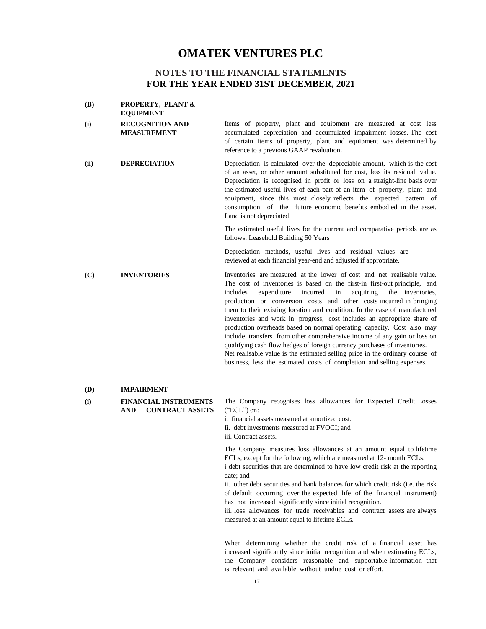### **NOTES TO THE FINANCIAL STATEMENTS FOR THE YEAR ENDED 31ST DECEMBER, 2021**

| (B)  | <b>PROPERTY, PLANT &amp;</b><br><b>EQUIPMENT</b>              |                                                                                                                                                                                                                                                                                                                                                                                                                                                                                                                                                                                                                                                                                                                                                                                                                                                                  |
|------|---------------------------------------------------------------|------------------------------------------------------------------------------------------------------------------------------------------------------------------------------------------------------------------------------------------------------------------------------------------------------------------------------------------------------------------------------------------------------------------------------------------------------------------------------------------------------------------------------------------------------------------------------------------------------------------------------------------------------------------------------------------------------------------------------------------------------------------------------------------------------------------------------------------------------------------|
| (i)  | <b>RECOGNITION AND</b><br><b>MEASUREMENT</b>                  | Items of property, plant and equipment are measured at cost less<br>accumulated depreciation and accumulated impairment losses. The cost<br>of certain items of property, plant and equipment was determined by<br>reference to a previous GAAP revaluation.                                                                                                                                                                                                                                                                                                                                                                                                                                                                                                                                                                                                     |
| (ii) | <b>DEPRECIATION</b>                                           | Depreciation is calculated over the depreciable amount, which is the cost<br>of an asset, or other amount substituted for cost, less its residual value.<br>Depreciation is recognised in profit or loss on a straight-line basis over<br>the estimated useful lives of each part of an item of property, plant and<br>equipment, since this most closely reflects the expected pattern of<br>consumption of the future economic benefits embodied in the asset.<br>Land is not depreciated.                                                                                                                                                                                                                                                                                                                                                                     |
|      |                                                               | The estimated useful lives for the current and comparative periods are as<br>follows: Leasehold Building 50 Years                                                                                                                                                                                                                                                                                                                                                                                                                                                                                                                                                                                                                                                                                                                                                |
|      |                                                               | Depreciation methods, useful lives and residual values are<br>reviewed at each financial year-end and adjusted if appropriate.                                                                                                                                                                                                                                                                                                                                                                                                                                                                                                                                                                                                                                                                                                                                   |
| (C)  | <b>INVENTORIES</b>                                            | Inventories are measured at the lower of cost and net realisable value.<br>The cost of inventories is based on the first-in first-out principle, and<br>incurred<br>acquiring<br>includes<br>expenditure<br>in<br>the inventories,<br>production or conversion costs and other costs incurred in bringing<br>them to their existing location and condition. In the case of manufactured<br>inventories and work in progress, cost includes an appropriate share of<br>production overheads based on normal operating capacity. Cost also may<br>include transfers from other comprehensive income of any gain or loss on<br>qualifying cash flow hedges of foreign currency purchases of inventories.<br>Net realisable value is the estimated selling price in the ordinary course of<br>business, less the estimated costs of completion and selling expenses. |
| (D)  | <b>IMPAIRMENT</b>                                             |                                                                                                                                                                                                                                                                                                                                                                                                                                                                                                                                                                                                                                                                                                                                                                                                                                                                  |
| (i)  | <b>FINANCIAL INSTRUMENTS</b><br><b>CONTRACT ASSETS</b><br>AND | The Company recognises loss allowances for Expected Credit Losses<br>$("ECL")$ on:<br>i. financial assets measured at amortized cost.<br>Ii. debt investments measured at FVOCI; and<br>iii. Contract assets.                                                                                                                                                                                                                                                                                                                                                                                                                                                                                                                                                                                                                                                    |
|      |                                                               | The Company measures loss allowances at an amount equal to lifetime<br>ECLs, except for the following, which are measured at 12- month ECLs:<br>i debt securities that are determined to have low credit risk at the reporting<br>date; and<br>ii. other debt securities and bank balances for which credit risk (i.e. the risk<br>of default occurring over the expected life of the financial instrument)<br>has not increased significantly since initial recognition.<br>iii. loss allowances for trade receivables and contract assets are always<br>measured at an amount equal to lifetime ECLs.                                                                                                                                                                                                                                                          |
|      |                                                               | When determining whether the credit rick of a financial asset has                                                                                                                                                                                                                                                                                                                                                                                                                                                                                                                                                                                                                                                                                                                                                                                                |

When determining whether the credit risk of a financial asset has increased significantly since initial recognition and when estimating ECLs, the Company considers reasonable and supportable information that is relevant and available without undue cost or effort.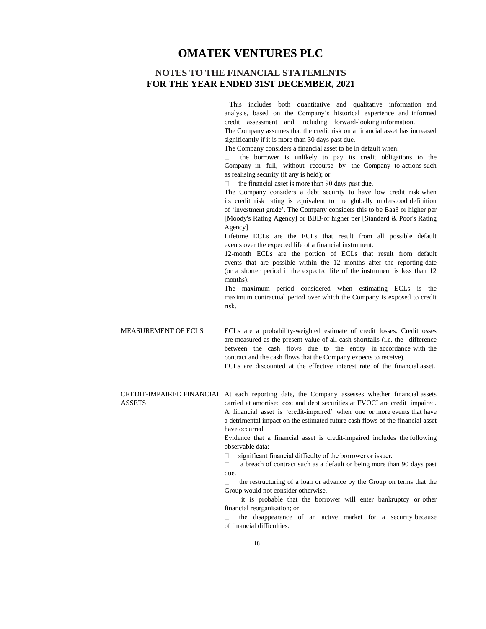### **NOTES TO THE FINANCIAL STATEMENTS FOR THE YEAR ENDED 31ST DECEMBER, 2021**

This includes both quantitative and qualitative information and analysis, based on the Company's historical experience and informed credit assessment and including forward-looking information.

The Company assumes that the credit risk on a financial asset has increased significantly if it is more than 30 days past due.

The Company considers a financial asset to be in default when:

the borrower is unlikely to pay its credit obligations to the Company in full, without recourse by the Company to actions such as realising security (if any is held); or

the financial asset is more than 90 days past due.

The Company considers a debt security to have low credit risk when its credit risk rating is equivalent to the globally understood definition of 'investment grade'. The Company considers this to be Baa3 or higher per [Moody's Rating Agency] or BBB-or higher per [Standard & Poor's Rating Agency].

Lifetime ECLs are the ECLs that result from all possible default events over the expected life of a financial instrument.

12-month ECLs are the portion of ECLs that result from default events that are possible within the 12 months after the reporting date (or a shorter period if the expected life of the instrument is less than 12 months).

The maximum period considered when estimating ECLs is the maximum contractual period over which the Company is exposed to credit risk.

MEASUREMENT OF ECLS ECLs are a probability-weighted estimate of credit losses. Credit losses are measured as the present value of all cash shortfalls (i.e. the difference between the cash flows due to the entity in accordance with the contract and the cash flows that the Company expects to receive).

ECLs are discounted at the effective interest rate of the financial asset.

CREDIT-IMPAIRED FINANCIAL At each reporting date, the Company assesses whether financial assets ASSETS carried at amortised cost and debt securities at FVOCI are credit impaired. A financial asset is 'credit-impaired' when one or more events that have a detrimental impact on the estimated future cash flows of the financial asset have occurred.

> Evidence that a financial asset is credit-impaired includes the following observable data:

significant financial difficulty of the borrower or issuer.  $\Box$ 

 $\Box$ a breach of contract such as a default or being more than 90 days past due.

 $\Box$ the restructuring of a loan or advance by the Group on terms that the Group would not consider otherwise.

it is probable that the borrower will enter bankruptcy or other  $\Box$ financial reorganisation; or

the disappearance of an active market for a security because  $\Box$ of financial difficulties.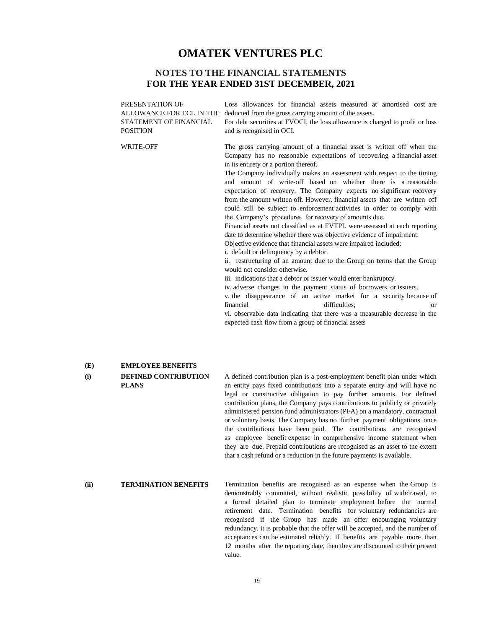### **NOTES TO THE FINANCIAL STATEMENTS FOR THE YEAR ENDED 31ST DECEMBER, 2021**

PRESENTATION OF ALLOWANCE FOR ECL IN THE STATEMENT OF FINANCIAL POSITION WRITE-OFF Loss allowances for financial assets measured at amortised cost are deducted from the gross carrying amount of the assets. For debt securities at FVOCI, the loss allowance is charged to profit or loss and is recognised in OCI. The gross carrying amount of a financial asset is written off when the Company has no reasonable expectations of recovering a financial asset in its entirety or a portion thereof. The Company individually makes an assessment with respect to the timing and amount of write-off based on whether there is a reasonable expectation of recovery. The Company expects no significant recovery from the amount written off. However, financial assets that are written off could still be subject to enforcement activities in order to comply with the Company's procedures for recovery of amounts due. Financial assets not classified as at FVTPL were assessed at each reporting date to determine whether there was objective evidence of impairment. Objective evidence that financial assets were impaired included: i. default or delinquency by a debtor. ii. restructuring of an amount due to the Group on terms that the Group would not consider otherwise. iii. indications that a debtor or issuer would enter bankruptcy. iv. adverse changes in the payment status of borrowers or issuers. v. the disappearance of an active market for a security because of financial difficulties; or vi. observable data indicating that there was a measurable decrease in the expected cash flow from a group of financial assets

#### **(E) EMPLOYEE BENEFITS**

#### **(i) DEFINED CONTRIBUTION PLANS**

A defined contribution plan is a post-employment benefit plan under which an entity pays fixed contributions into a separate entity and will have no legal or constructive obligation to pay further amounts. For defined contribution plans, the Company pays contributions to publicly or privately administered pension fund administrators (PFA) on a mandatory, contractual or voluntary basis. The Company has no further payment obligations once the contributions have been paid. The contributions are recognised as employee benefit expense in comprehensive income statement when they are due. Prepaid contributions are recognised as an asset to the extent that a cash refund or a reduction in the future payments is available.

### **(ii) TERMINATION BENEFITS**

Termination benefits are recognised as an expense when the Group is demonstrably committed, without realistic possibility of withdrawal, to a formal detailed plan to terminate employment before the normal retirement date. Termination benefits for voluntary redundancies are recognised if the Group has made an offer encouraging voluntary redundancy, it is probable that the offer will be accepted, and the number of acceptances can be estimated reliably. If benefits are payable more than 12 months after the reporting date, then they are discounted to their present value.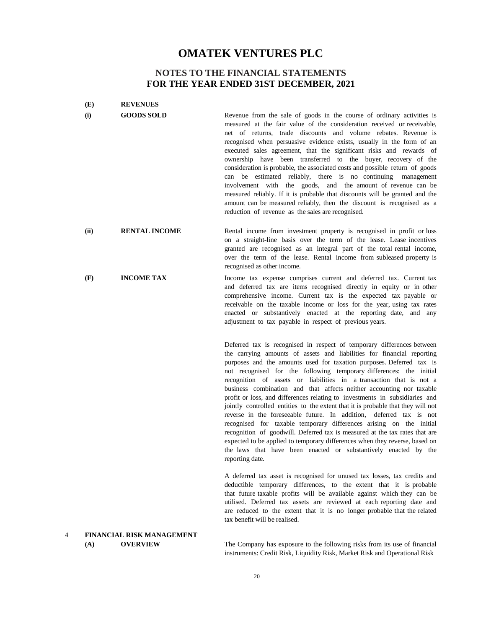### **NOTES TO THE FINANCIAL STATEMENTS FOR THE YEAR ENDED 31ST DECEMBER, 2021**

| (E)  | <b>REVENUES</b>           |                                                                                                                                                                                                                                                                                                                                                                                                                                                                                                                                                                                                                                                                                                                                                                                                                                                                                                                                                                                                                     |
|------|---------------------------|---------------------------------------------------------------------------------------------------------------------------------------------------------------------------------------------------------------------------------------------------------------------------------------------------------------------------------------------------------------------------------------------------------------------------------------------------------------------------------------------------------------------------------------------------------------------------------------------------------------------------------------------------------------------------------------------------------------------------------------------------------------------------------------------------------------------------------------------------------------------------------------------------------------------------------------------------------------------------------------------------------------------|
| (i)  | <b>GOODS SOLD</b>         | Revenue from the sale of goods in the course of ordinary activities is<br>measured at the fair value of the consideration received or receivable,<br>net of returns, trade discounts and volume rebates. Revenue is<br>recognised when persuasive evidence exists, usually in the form of an<br>executed sales agreement, that the significant risks and rewards of<br>ownership have been transferred to the buyer, recovery of the<br>consideration is probable, the associated costs and possible return of goods<br>can be estimated reliably, there is no continuing<br>management<br>involvement with the goods, and the amount of revenue can be<br>measured reliably. If it is probable that discounts will be granted and the<br>amount can be measured reliably, then the discount is recognised as a<br>reduction of revenue as the sales are recognised.                                                                                                                                                |
| (ii) | <b>RENTAL INCOME</b>      | Rental income from investment property is recognised in profit or loss<br>on a straight-line basis over the term of the lease. Lease incentives<br>granted are recognised as an integral part of the total rental income,<br>over the term of the lease. Rental income from subleased property is<br>recognised as other income.                                                                                                                                                                                                                                                                                                                                                                                                                                                                                                                                                                                                                                                                                    |
| (F)  | <b>INCOME TAX</b>         | Income tax expense comprises current and deferred tax. Current tax<br>and deferred tax are items recognised directly in equity or in other<br>comprehensive income. Current tax is the expected tax payable or<br>receivable on the taxable income or loss for the year, using tax rates<br>enacted or substantively enacted at the reporting date, and any<br>adjustment to tax payable in respect of previous years.                                                                                                                                                                                                                                                                                                                                                                                                                                                                                                                                                                                              |
|      |                           | Deferred tax is recognised in respect of temporary differences between<br>the carrying amounts of assets and liabilities for financial reporting<br>purposes and the amounts used for taxation purposes. Deferred tax is<br>not recognised for the following temporary differences: the initial<br>recognition of assets or liabilities in a transaction that is not a<br>business combination and that affects neither accounting nor taxable<br>profit or loss, and differences relating to investments in subsidiaries and<br>jointly controlled entities to the extent that it is probable that they will not<br>reverse in the foreseeable future. In addition, deferred tax is not<br>recognised for taxable temporary differences arising on the initial<br>recognition of goodwill. Deferred tax is measured at the tax rates that are<br>expected to be applied to temporary differences when they reverse, based on<br>the laws that have been enacted or substantively enacted by the<br>reporting date. |
|      |                           | A deferred tax asset is recognised for unused tax losses, tax credits and<br>deductible temporary differences, to the extent that it is probable<br>that future taxable profits will be available against which they can be<br>utilised. Deferred tax assets are reviewed at each reporting date and<br>are reduced to the extent that it is no longer probable that the related<br>tax benefit will be realised.                                                                                                                                                                                                                                                                                                                                                                                                                                                                                                                                                                                                   |
|      | FINANCIAL RISK MANAGEMENT |                                                                                                                                                                                                                                                                                                                                                                                                                                                                                                                                                                                                                                                                                                                                                                                                                                                                                                                                                                                                                     |

#### 4 **FINANCIAL RISK MANAGEMENT (A) OVERVIEW**

The Company has exposure to the following risks from its use of financial instruments: Credit Risk, Liquidity Risk, Market Risk and Operational Risk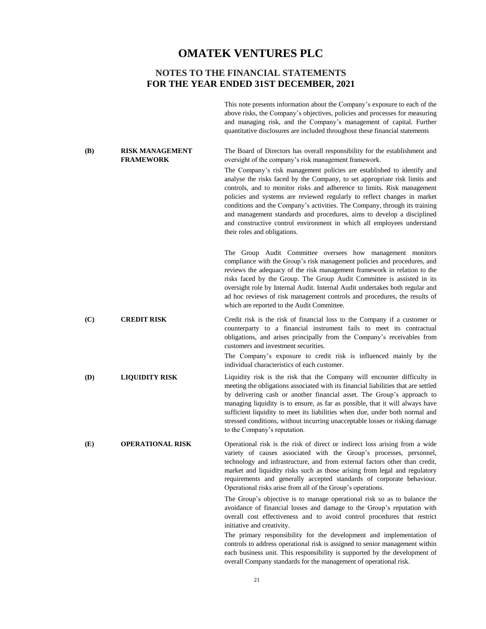### **NOTES TO THE FINANCIAL STATEMENTS FOR THE YEAR ENDED 31ST DECEMBER, 2021**

T This note presents information about the Company's exposure to each of the above risks, the Company's objectives, policies and processes for measuring and managing risk, and the Company's management of capital. Further quantitative disclosures are included throughout these financial statements

#### **(B) RISK MANAGEMENT FRAMEWORK**

**(D) LIQUIDITY RISK**

The Board of Directors has overall responsibility for the establishment and oversight of the company's risk management framework.

The Company's risk management policies are established to identify and analyse the risks faced by the Company, to set appropriate risk limits and controls, and to monitor risks and adherence to limits. Risk management policies and systems are reviewed regularly to reflect changes in market conditions and the Company's activities. The Company, through its training and management standards and procedures, aims to develop a disciplined and constructive control environment in which all employees understand their roles and obligations.

The Group Audit Committee oversees how management monitors compliance with the Group's risk management policies and procedures, and reviews the adequacy of the risk management framework in relation to the risks faced by the Group. The Group Audit Committee is assisted in its oversight role by Internal Audit. Internal Audit undertakes both regular and ad hoc reviews of risk management controls and procedures, the results of which are reported to the Audit Committee.

**(C) CREDIT RISK** Credit risk is the risk of financial loss to the Company if a customer or counterparty to a financial instrument fails to meet its contractual obligations, and arises principally from the Company's receivables from customers and investment securities.

> The Company's exposure to credit risk is influenced mainly by the individual characteristics of each customer.

Liquidity risk is the risk that the Company will encounter difficulty in meeting the obligations associated with its financial liabilities that are settled by delivering cash or another financial asset. The Group's approach to managing liquidity is to ensure, as far as possible, that it will always have sufficient liquidity to meet its liabilities when due, under both normal and stressed conditions, without incurring unacceptable losses or risking damage to the Company's reputation.

**(E) OPERATIONAL RISK** Operational risk is the risk of direct or indirect loss arising from a wide variety of causes associated with the Group's processes, personnel, technology and infrastructure, and from external factors other than credit, market and liquidity risks such as those arising from legal and regulatory requirements and generally accepted standards of corporate behaviour. Operational risks arise from all of the Group's operations.

The Group's objective is to manage operational risk so as to balance the avoidance of financial losses and damage to the Group's reputation with overall cost effectiveness and to avoid control procedures that restrict initiative and creativity.

The primary responsibility for the development and implementation of controls to address operational risk is assigned to senior management within each business unit. This responsibility is supported by the development of overall Company standards for the management of operational risk.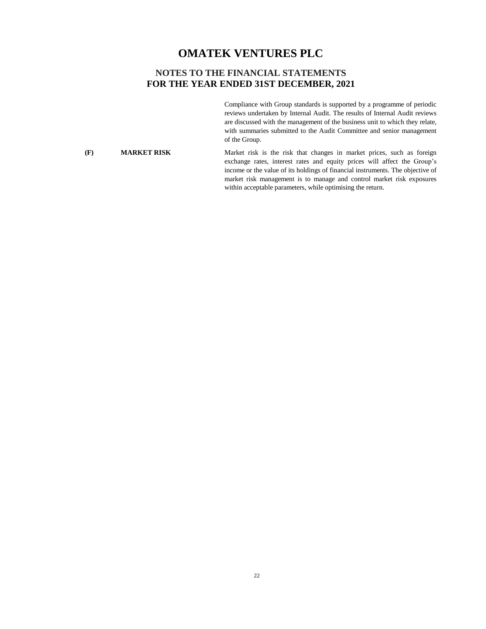### **NOTES TO THE FINANCIAL STATEMENTS FOR THE YEAR ENDED 31ST DECEMBER, 2021**

Compliance with Group standards is supported by a programme of periodic reviews undertaken by Internal Audit. The results of Internal Audit reviews are discussed with the management of the business unit to which they relate, with summaries submitted to the Audit Committee and senior management of the Group.

#### **(F) MARKET RISK**

Market risk is the risk that changes in market prices, such as foreign exchange rates, interest rates and equity prices will affect the Group's income or the value of its holdings of financial instruments. The objective of market risk management is to manage and control market risk exposures within acceptable parameters, while optimising the return.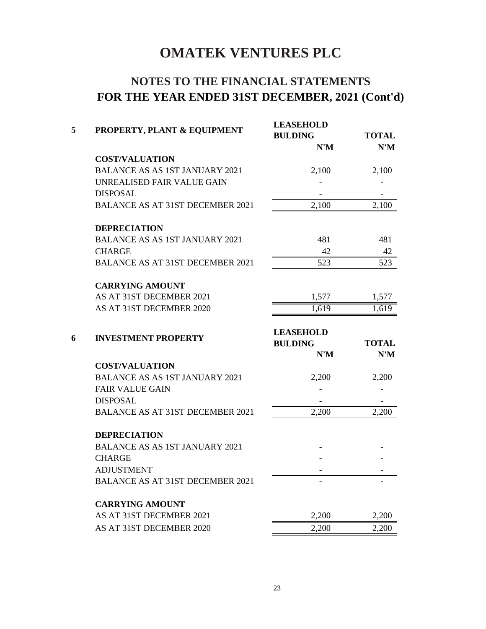# **NOTES TO THE FINANCIAL STATEMENTS FOR THE YEAR ENDED 31ST DECEMBER, 2021 (Cont'd)**

| 5 | PROPERTY, PLANT & EQUIPMENT             | <b>LEASEHOLD</b><br><b>BULDING</b>                 | <b>TOTAL</b> |  |
|---|-----------------------------------------|----------------------------------------------------|--------------|--|
|   |                                         | N'M                                                | N'M          |  |
|   | <b>COST/VALUATION</b>                   |                                                    |              |  |
|   | <b>BALANCE AS AS 1ST JANUARY 2021</b>   | 2,100                                              | 2,100        |  |
|   | UNREALISED FAIR VALUE GAIN              |                                                    |              |  |
|   | <b>DISPOSAL</b>                         |                                                    |              |  |
|   | <b>BALANCE AS AT 31ST DECEMBER 2021</b> | 2,100                                              | 2,100        |  |
|   | <b>DEPRECIATION</b>                     |                                                    |              |  |
|   | <b>BALANCE AS AS 1ST JANUARY 2021</b>   | 481                                                | 481          |  |
|   | <b>CHARGE</b>                           | 42                                                 | 42           |  |
|   | <b>BALANCE AS AT 31ST DECEMBER 2021</b> | 523                                                | 523          |  |
|   | <b>CARRYING AMOUNT</b>                  |                                                    |              |  |
|   | AS AT 31ST DECEMBER 2021                | 1,577                                              | 1,577        |  |
|   | AS AT 31ST DECEMBER 2020                | 1,619                                              | 1,619        |  |
| 6 | <b>INVESTMENT PROPERTY</b>              | <b>LEASEHOLD</b><br><b>BULDING</b><br><b>TOTAL</b> |              |  |
|   |                                         | N'M                                                | N'M          |  |
|   | <b>COST/VALUATION</b>                   |                                                    |              |  |
|   | <b>BALANCE AS AS 1ST JANUARY 2021</b>   | 2,200                                              | 2,200        |  |
|   | <b>FAIR VALUE GAIN</b>                  |                                                    |              |  |
|   | <b>DISPOSAL</b>                         |                                                    |              |  |
|   | BALANCE AS AT 31ST DECEMBER 2021        | 2,200                                              | 2,200        |  |
|   | <b>DEPRECIATION</b>                     |                                                    |              |  |
|   | <b>BALANCE AS AS 1ST JANUARY 2021</b>   |                                                    |              |  |
|   | <b>CHARGE</b>                           |                                                    |              |  |
|   | <b>ADJUSTMENT</b>                       |                                                    |              |  |
|   | <b>BALANCE AS AT 31ST DECEMBER 2021</b> |                                                    |              |  |
|   | <b>CARRYING AMOUNT</b>                  |                                                    |              |  |
|   | AS AT 31ST DECEMBER 2021                | 2,200                                              | 2,200        |  |
|   | AS AT 31ST DECEMBER 2020                | 2,200                                              | 2,200        |  |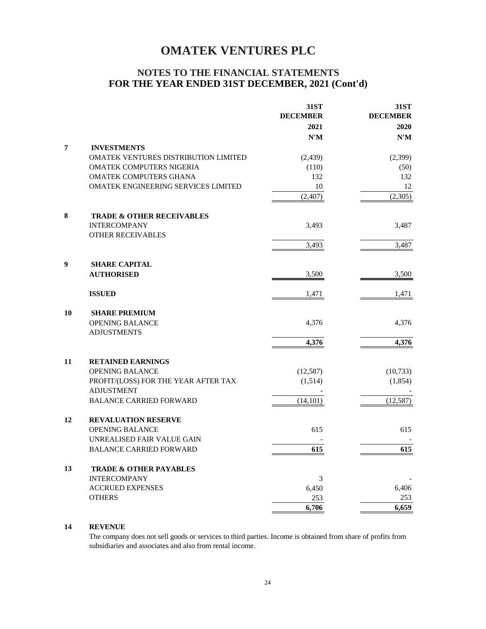### **NOTES TO THE FINANCIAL STATEMENTS FOR THE YEAR ENDED 31ST DECEMBER, 2021 (Cont'd)**

|    |                                      | 31ST            | 31ST            |
|----|--------------------------------------|-----------------|-----------------|
|    |                                      | <b>DECEMBER</b> | <b>DECEMBER</b> |
|    |                                      | 2021            | 2020            |
|    |                                      | N'M             | N'M             |
| 7  | <b>INVESTMENTS</b>                   |                 |                 |
|    | OMATEK VENTURES DISTRIBUTION LIMITED | (2,439)         | (2,399)         |
|    | OMATEK COMPUTERS NIGERIA             | (110)           | (50)            |
|    | OMATEK COMPUTERS GHANA               | 132             | 132             |
|    | OMATEK ENGINEERING SERVICES LIMITED  | 10              | 12              |
|    |                                      | (2,407)         | (2,305)         |
| 8  | <b>TRADE &amp; OTHER RECEIVABLES</b> |                 |                 |
|    | <b>INTERCOMPANY</b>                  | 3,493           | 3,487           |
|    | <b>OTHER RECEIVABLES</b>             |                 |                 |
|    |                                      | 3,493           | 3,487           |
| 9  | <b>SHARE CAPITAL</b>                 |                 |                 |
|    | <b>AUTHORISED</b>                    | 3,500           | 3,500           |
|    |                                      |                 |                 |
|    | <b>ISSUED</b>                        | 1,471           | 1,471           |
| 10 | <b>SHARE PREMIUM</b>                 |                 |                 |
|    | <b>OPENING BALANCE</b>               | 4,376           | 4,376           |
|    | <b>ADJUSTMENTS</b>                   |                 |                 |
|    |                                      | 4,376           | 4,376           |
| 11 | <b>RETAINED EARNINGS</b>             |                 |                 |
|    | OPENING BALANCE                      | (12, 587)       | (10, 733)       |
|    | PROFIT/(LOSS) FOR THE YEAR AFTER TAX | (1,514)         | (1, 854)        |
|    | <b>ADJUSTMENT</b>                    |                 |                 |
|    | <b>BALANCE CARRIED FORWARD</b>       | (14, 101)       | (12, 587)       |
| 12 | <b>REVALUATION RESERVE</b>           |                 |                 |
|    | <b>OPENING BALANCE</b>               | 615             | 615             |
|    | UNREALISED FAIR VALUE GAIN           |                 |                 |
|    | <b>BALANCE CARRIED FORWARD</b>       | 615             | 615             |
| 13 | <b>TRADE &amp; OTHER PAYABLES</b>    |                 |                 |
|    | <b>INTERCOMPANY</b>                  | 3               |                 |
|    | <b>ACCRUED EXPENSES</b>              | 6,450           | 6,406           |
|    | <b>OTHERS</b>                        | 253             | 253             |
|    |                                      | 6,706           | 6,659           |

### **14 REVENUE**

The company does not sell goods or services to third parties. Income is obtained from share of profits from subsidiaries and associates and also from rental income.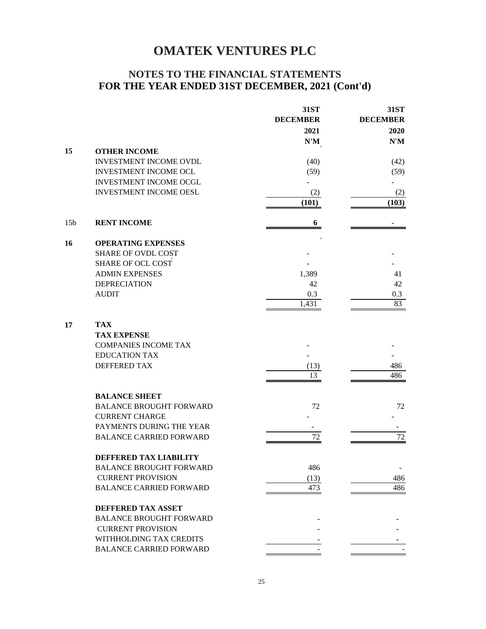### **NOTES TO THE FINANCIAL STATEMENTS FOR THE YEAR ENDED 31ST DECEMBER, 2021 (Cont'd)**

|                 |                                | 31ST            | 31ST            |
|-----------------|--------------------------------|-----------------|-----------------|
|                 |                                | <b>DECEMBER</b> | <b>DECEMBER</b> |
|                 |                                | 2021            | 2020            |
|                 |                                | $N'M$           | N'M             |
| 15              | <b>OTHER INCOME</b>            |                 |                 |
|                 | INVESTMENT INCOME OVDL         | (40)            | (42)            |
|                 | INVESTMENT INCOME OCL          | (59)            | (59)            |
|                 | <b>INVESTMENT INCOME OCGL</b>  |                 |                 |
|                 | <b>INVESTMENT INCOME OESL</b>  | (2)             | (2)             |
|                 |                                | (101)           | (103)           |
| 15 <sub>b</sub> | <b>RENT INCOME</b>             | 6               |                 |
| 16              | <b>OPERATING EXPENSES</b>      |                 |                 |
|                 | <b>SHARE OF OVDL COST</b>      |                 |                 |
|                 | <b>SHARE OF OCL COST</b>       |                 |                 |
|                 | <b>ADMIN EXPENSES</b>          | 1,389           | 41              |
|                 | <b>DEPRECIATION</b>            | 42              | 42              |
|                 | <b>AUDIT</b>                   | 0.3             | 0.3             |
|                 |                                | 1,431           | 83              |
| 17              | <b>TAX</b>                     |                 |                 |
|                 | <b>TAX EXPENSE</b>             |                 |                 |
|                 | <b>COMPANIES INCOME TAX</b>    |                 |                 |
|                 | <b>EDUCATION TAX</b>           |                 |                 |
|                 | <b>DEFFERED TAX</b>            | (13)            | 486             |
|                 |                                | 13              | 486             |
|                 | <b>BALANCE SHEET</b>           |                 |                 |
|                 | <b>BALANCE BROUGHT FORWARD</b> | 72              | 72              |
|                 | <b>CURRENT CHARGE</b>          |                 |                 |
|                 | PAYMENTS DURING THE YEAR       |                 |                 |
|                 | <b>BALANCE CARRIED FORWARD</b> | 72              | $72\,$          |
|                 | DEFFERED TAX LIABILITY         |                 |                 |
|                 | <b>BALANCE BROUGHT FORWARD</b> | 486             |                 |
|                 | <b>CURRENT PROVISION</b>       | (13)            | 486             |
|                 | <b>BALANCE CARRIED FORWARD</b> | 473             | 486             |
|                 | <b>DEFFERED TAX ASSET</b>      |                 |                 |
|                 | <b>BALANCE BROUGHT FORWARD</b> |                 |                 |
|                 | <b>CURRENT PROVISION</b>       |                 |                 |
|                 | WITHHOLDING TAX CREDITS        |                 |                 |
|                 | <b>BALANCE CARRIED FORWARD</b> |                 |                 |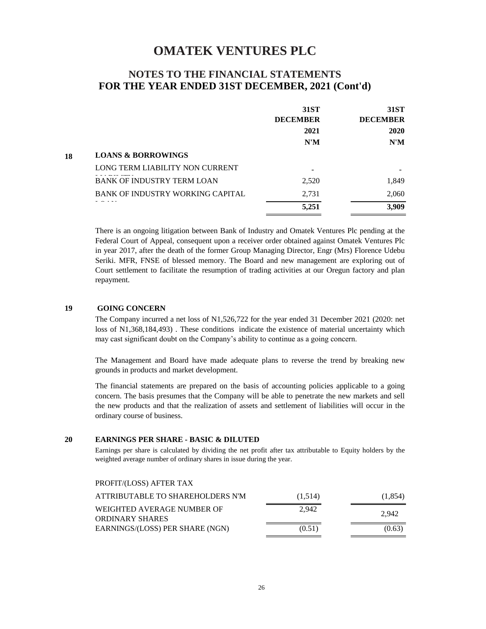### **NOTES TO THE FINANCIAL STATEMENTS FOR THE YEAR ENDED 31ST DECEMBER, 2021 (Cont'd)**

|    |                                         | 31ST            | 31ST            |
|----|-----------------------------------------|-----------------|-----------------|
|    |                                         | <b>DECEMBER</b> | <b>DECEMBER</b> |
|    |                                         | 2021            | 2020            |
|    |                                         | N'M             | N'M             |
| 18 | <b>LOANS &amp; BORROWINGS</b>           |                 |                 |
|    | LONG TERM LIABILITY NON CURRENT         |                 |                 |
|    | <b>BANK OF INDUSTRY TERM LOAN</b>       | 2,520           | 1,849           |
|    | <b>BANK OF INDUSTRY WORKING CAPITAL</b> | 2,731           | 2,060           |
|    |                                         | 5,251           | 3,909           |

There is an ongoing litigation between Bank of Industry and Omatek Ventures Plc pending at the Federal Court of Appeal, consequent upon a receiver order obtained against Omatek Ventures Plc in year 2017, after the death of the former Group Managing Director, Engr (Mrs) Florence Udebu Seriki. MFR, FNSE of blessed memory. The Board and new management are exploring out of Court settlement to facilitate the resumption of trading activities at our Oregun factory and plan repayment.

#### **19 GOING CONCERN**

The Company incurred a net loss of N1,526,722 for the year ended 31 December 2021 (2020: net loss of N1,368,184,493) . These conditions indicate the existence of material uncertainty which may cast significant doubt on the Company's ability to continue as a going concern.

The Management and Board have made adequate plans to reverse the trend by breaking new grounds in products and market development.

The financial statements are prepared on the basis of accounting policies applicable to a going concern. The basis presumes that the Company will be able to penetrate the new markets and sell the new products and that the realization of assets and settlement of liabilities will occur in the ordinary course of business.

### **20 EARNINGS PER SHARE - BASIC & DILUTED**

Earnings per share is calculated by dividing the net profit after tax attributable to Equity holders by the weighted average number of ordinary shares in issue during the year.

### PROFIT/(LOSS) AFTER TAX

| ATTRIBUTABLE TO SHAREHOLDERS N'M | (1,514) | (1,854) |
|----------------------------------|---------|---------|
| WEIGHTED AVERAGE NUMBER OF       | 2.942   | 2.942   |
| <b>ORDINARY SHARES</b>           |         |         |
| EARNINGS/(LOSS) PER SHARE (NGN)  | (0.51)  | (0.63)  |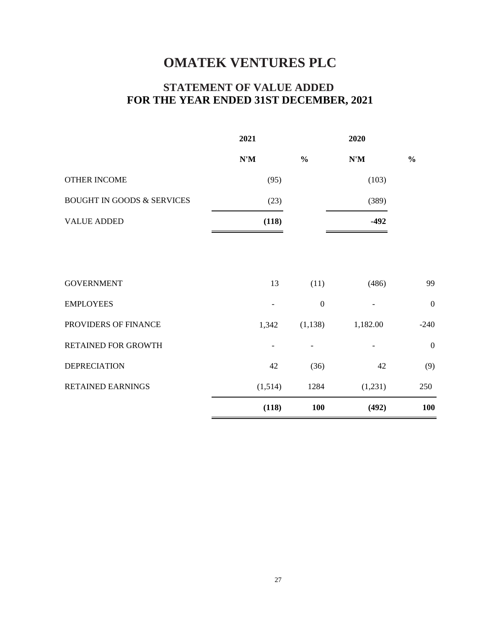# **FOR THE YEAR ENDED 31ST DECEMBER, 2021 STATEMENT OF VALUE ADDED**

|                                       | 2021    |                  | 2020     |                  |
|---------------------------------------|---------|------------------|----------|------------------|
|                                       | N'M     | $\frac{0}{0}$    | N'M      | $\frac{0}{0}$    |
| <b>OTHER INCOME</b>                   | (95)    |                  | (103)    |                  |
| <b>BOUGHT IN GOODS &amp; SERVICES</b> | (23)    |                  | (389)    |                  |
| <b>VALUE ADDED</b>                    | (118)   |                  | $-492$   |                  |
|                                       |         |                  |          |                  |
|                                       |         |                  |          |                  |
| <b>GOVERNMENT</b>                     | 13      | (11)             | (486)    | 99               |
| <b>EMPLOYEES</b>                      |         | $\boldsymbol{0}$ |          | $\boldsymbol{0}$ |
| PROVIDERS OF FINANCE                  | 1,342   | (1,138)          | 1,182.00 | $-240$           |
| RETAINED FOR GROWTH                   |         | -                |          | $\boldsymbol{0}$ |
| <b>DEPRECIATION</b>                   | 42      | (36)             | 42       | (9)              |
| <b>RETAINED EARNINGS</b>              | (1,514) | 1284             | (1,231)  | 250              |
|                                       | (118)   | <b>100</b>       | (492)    | <b>100</b>       |